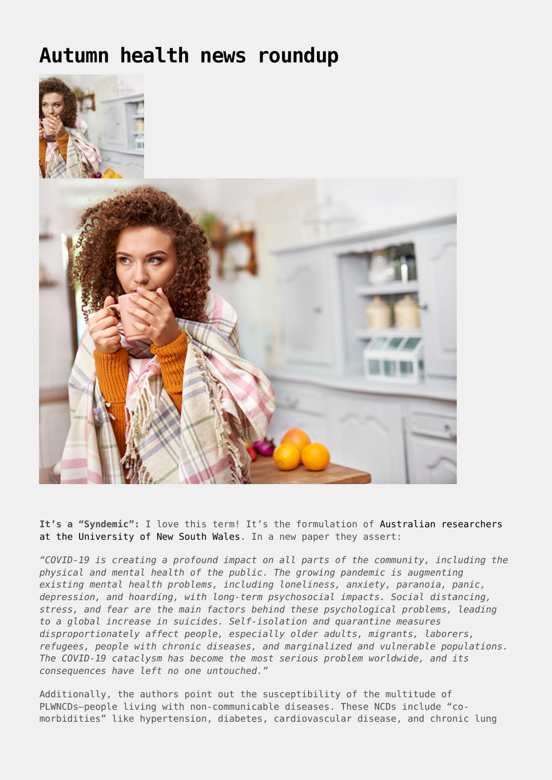## **[Autumn health news roundup](https://drhoffman.com/article/autumn-health-news-roundup/)**



**It's a "Syndemic":** I love this term! It's the formulation of [Australian researchers](https://www.frontiersin.org/articles/10.3389/fpubh.2020.00508/full) [at the University of New South Wales](https://www.frontiersin.org/articles/10.3389/fpubh.2020.00508/full). In a new paper they assert:

*"COVID-19 is creating a profound impact on all parts of the community, including the physical and mental health of the public. The growing pandemic is augmenting existing mental health problems, including loneliness, anxiety, paranoia, panic, depression, and hoarding, with long-term psychosocial impacts. Social distancing, stress, and fear are the main factors behind these psychological problems, leading to a global increase in suicides. Self-isolation and quarantine measures disproportionately affect people, especially older adults, migrants, laborers, refugees, people with chronic diseases, and marginalized and vulnerable populations. The COVID-19 cataclysm has become the most serious problem worldwide, and its consequences have left no one untouched."*

Additionally, the authors point out the susceptibility of the multitude of PLWNCDs—people living with non-communicable diseases. These NCDs include "comorbidities" like hypertension, diabetes, cardiovascular disease, and chronic lung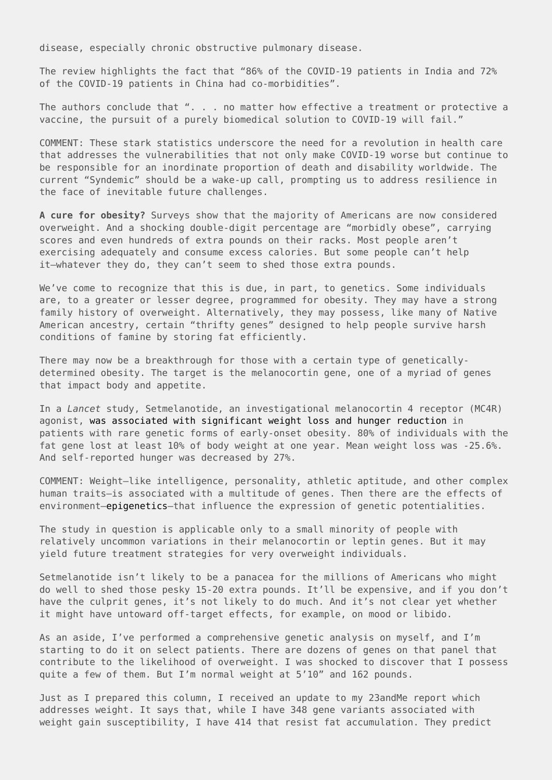disease, especially chronic obstructive pulmonary disease.

The review highlights the fact that "86% of the COVID-19 patients in India and 72% of the COVID-19 patients in China had co-morbidities".

The authors conclude that ". . . no matter how effective a treatment or protective a vaccine, the pursuit of a purely biomedical solution to COVID-19 will fail."

COMMENT: These stark statistics underscore the need for a revolution in health care that addresses the vulnerabilities that not only make COVID-19 worse but continue to be responsible for an inordinate proportion of death and disability worldwide. The current "Syndemic" should be a wake-up call, prompting us to address resilience in the face of inevitable future challenges.

**A cure for obesity?** Surveys show that the majority of Americans are now considered overweight. And a shocking double-digit percentage are "morbidly obese", carrying scores and even hundreds of extra pounds on their racks. Most people aren't exercising adequately and consume excess calories. But some people can't help it—whatever they do, they can't seem to shed those extra pounds.

We've come to recognize that this is due, in part, to genetics. Some individuals are, to a greater or lesser degree, programmed for obesity. They may have a strong family history of overweight. Alternatively, they may possess, like many of Native American ancestry, certain "thrifty genes" designed to help people survive harsh conditions of famine by storing fat efficiently.

There may now be a breakthrough for those with a certain type of geneticallydetermined obesity. The target is the melanocortin gene, one of a myriad of genes that impact body and appetite.

In a *Lancet* study, Setmelanotide, an investigational melanocortin 4 receptor (MC4R) agonist, [was associated with significant weight loss and hunger reduction](https://www.thelancet.com/journals/landia/article/PIIS2213-8587(20)30364-8/fulltext) in patients with rare genetic forms of early-onset obesity. 80% of individuals with the fat gene lost at least 10% of body weight at one year. Mean weight loss was -25.6%. And self-reported hunger was decreased by 27%.

COMMENT: Weight—like intelligence, personality, athletic aptitude, and other complex human traits—is associated with a multitude of genes. Then there are the effects of environment-epigenetics-that influence the expression of genetic potentialities.

The study in question is applicable only to a small minority of people with relatively uncommon variations in their melanocortin or leptin genes. But it may yield future treatment strategies for very overweight individuals.

Setmelanotide isn't likely to be a panacea for the millions of Americans who might do well to shed those pesky 15-20 extra pounds. It'll be expensive, and if you don't have the culprit genes, it's not likely to do much. And it's not clear yet whether it might have untoward off-target effects, for example, on mood or libido.

As an aside, I've performed a comprehensive genetic analysis on myself, and I'm starting to do it on select patients. There are dozens of genes on that panel that contribute to the likelihood of overweight. I was shocked to discover that I possess quite a few of them. But I'm normal weight at 5'10" and 162 pounds.

Just as I prepared this column, I received an update to my 23andMe report which addresses weight. It says that, while I have 348 gene variants associated with weight gain susceptibility, I have 414 that resist fat accumulation. They predict